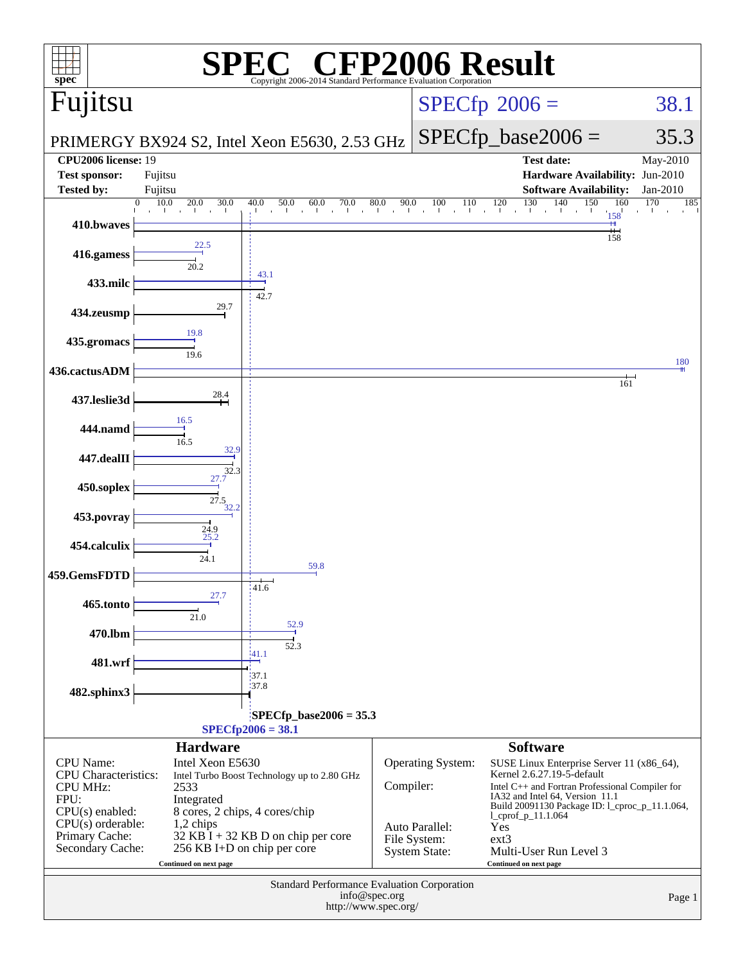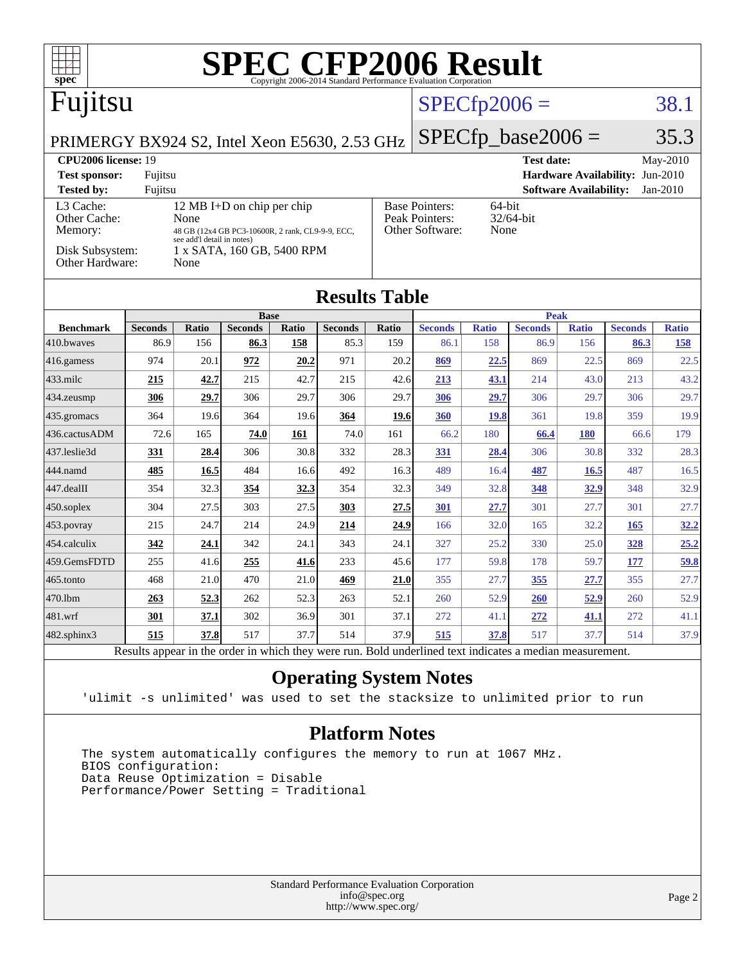| <b>SPEC CFP2006 Result</b><br>$spec^*$<br>Copyright 2006-2014 Standard Performance Evaluation Corporation |                        |                     |                        |              |                        |                                                                |                        |                     |                        |                                 |                        |                     |
|-----------------------------------------------------------------------------------------------------------|------------------------|---------------------|------------------------|--------------|------------------------|----------------------------------------------------------------|------------------------|---------------------|------------------------|---------------------------------|------------------------|---------------------|
| Fujitsu                                                                                                   |                        |                     |                        |              | $SPECfp2006 =$         |                                                                |                        | 38.1                |                        |                                 |                        |                     |
| PRIMERGY BX924 S2, Intel Xeon E5630, 2.53 GHz                                                             |                        |                     |                        |              |                        |                                                                |                        |                     | $SPECfp\_base2006 =$   |                                 |                        | 35.3                |
| <b>CPU2006 license: 19</b>                                                                                |                        |                     |                        |              |                        |                                                                |                        |                     | Test date:             |                                 |                        | May-2010            |
| <b>Test sponsor:</b><br>Fujitsu                                                                           |                        |                     |                        |              |                        |                                                                |                        |                     |                        | Hardware Availability: Jun-2010 |                        |                     |
| <b>Tested by:</b>                                                                                         | Fujitsu                |                     |                        |              |                        |                                                                |                        |                     |                        | <b>Software Availability:</b>   |                        | $Jan-2010$          |
| L3 Cache:<br>12 MB I+D on chip per chip<br>Other Cache:<br>None                                           |                        |                     |                        |              |                        | <b>Base Pointers:</b><br>64-bit<br>Peak Pointers:<br>32/64-bit |                        |                     |                        |                                 |                        |                     |
| Other Software:<br>None<br>Memory:<br>48 GB (12x4 GB PC3-10600R, 2 rank, CL9-9-9, ECC,                    |                        |                     |                        |              |                        |                                                                |                        |                     |                        |                                 |                        |                     |
| see add'l detail in notes)<br>Disk Subsystem:<br>1 x SATA, 160 GB, 5400 RPM<br>Other Hardware:<br>None    |                        |                     |                        |              |                        |                                                                |                        |                     |                        |                                 |                        |                     |
| <b>Results Table</b>                                                                                      |                        |                     |                        |              |                        |                                                                |                        |                     |                        |                                 |                        |                     |
|                                                                                                           |                        |                     | <b>Base</b>            |              |                        |                                                                |                        |                     | <b>Peak</b>            |                                 |                        |                     |
| <b>Benchmark</b><br>410.bwayes                                                                            | <b>Seconds</b><br>86.9 | <b>Ratio</b><br>156 | <b>Seconds</b><br>86.3 | Ratio<br>158 | <b>Seconds</b><br>85.3 | <b>Ratio</b><br>159                                            | <b>Seconds</b><br>86.1 | <b>Ratio</b><br>158 | <b>Seconds</b><br>86.9 | <b>Ratio</b><br>156             | <b>Seconds</b><br>86.3 | <b>Ratio</b><br>158 |
| 416.gamess                                                                                                | 974                    | 20.1                | 972                    | 20.2         | 971                    | 20.2                                                           | 869                    | 22.5                | 869                    | 22.5                            | 869                    | 22.5                |
| 433.milc                                                                                                  | 215                    | 42.7                | 215                    | 42.7         | 215                    | 42.6                                                           | 213                    | 43.1                | 214                    | 43.0                            | 213                    | 43.2                |
| 434.zeusmp                                                                                                | 306                    | 29.7                | 306                    | 29.7         | 306                    | 29.7                                                           | 306                    | 29.7                | 306                    | 29.7                            | 306                    | 29.7                |
| 435.gromacs                                                                                               | 364                    | 19.6                | 364                    | 19.6         | 364                    | 19.6                                                           | 360                    | <b>19.8</b>         | 361                    | 19.8                            | 359                    | 19.9                |
| 436.cactusADM                                                                                             | 72.6                   | 165                 | 74.0                   | 161          | 74.0                   | 161                                                            | 66.2                   | 180                 | 66.4                   | <b>180</b>                      | 66.6                   | 179                 |
| 437.leslie3d                                                                                              | 331                    | 28.4                | 306                    | 30.8         | 332                    | 28.3                                                           | 331                    | 28.4                | 306                    | 30.8                            | 332                    | 28.3                |
| 444.namd                                                                                                  | 485                    | 16.5                | 484                    | 16.6         | 492                    | 16.3                                                           | 489                    | 16.4                | 487                    | 16.5                            | 487                    | 16.5                |
| 447.dealII                                                                                                | 354                    | 32.3                | 354                    | 32.3         | 354                    | 32.3                                                           | 349                    | 32.8                | 348                    | 32.9                            | 348                    | 32.9                |
| $450$ .soplex                                                                                             | 304                    | 27.5                | 303                    | 27.5         | 303                    | 27.5                                                           | 301                    | 27.7                | 301                    | 27.7                            | 301                    | 27.7                |
| 453.povray                                                                                                | 215                    | 24.7                | 214                    | 24.9         | 214                    | 24.9                                                           | 166                    | 32.0                | 165                    | 32.2                            | 165                    | 32.2                |
| 454.calculix                                                                                              | 342                    | 24.1                | 342                    | 24.1         | 343                    | 24.1                                                           | 327                    | 25.2                | 330                    | 25.0                            | 328                    | 25.2                |
| 459.GemsFDTD                                                                                              | 255                    | 41.6                | 255                    | 41.6         | 233                    | 45.6                                                           | 177                    | 59.8                | 178                    | 59.7                            | 177                    | 59.8                |
| 465.tonto                                                                                                 | 468                    | 21.0                | 470                    | 21.0         | 469                    | 21.0                                                           | 355                    | 27.7                | <u>355</u>             | 27.7                            | 355                    | 27.7                |
| 470.1bm                                                                                                   | 263                    | 52.3                | 262                    | 52.3         | 263                    | 52.1                                                           | 260                    | 52.9                | 260                    | 52.9                            | 260                    | 52.9                |
| 481.wrf                                                                                                   | 301                    | 37.1                | 302                    | 36.9         | 301                    | 37.1                                                           | 272                    | 41.1                | 272                    | <u>41.1</u>                     | 272                    | 41.1                |
| 482.sphinx3                                                                                               | 515                    | 37.8                | 517                    | 37.7         | 514                    | 37.9                                                           | 515                    | 37.8                | 517                    | 37.7                            | 514                    | 37.9                |
| Results appear in the order in which they were run. Bold underlined text indicates a median measurement.  |                        |                     |                        |              |                        |                                                                |                        |                     |                        |                                 |                        |                     |

**[Operating System Notes](http://www.spec.org/auto/cpu2006/Docs/result-fields.html#OperatingSystemNotes)**

'ulimit -s unlimited' was used to set the stacksize to unlimited prior to run

### **[Platform Notes](http://www.spec.org/auto/cpu2006/Docs/result-fields.html#PlatformNotes)**

 The system automatically configures the memory to run at 1067 MHz. BIOS configuration: Data Reuse Optimization = Disable Performance/Power Setting = Traditional

> Standard Performance Evaluation Corporation [info@spec.org](mailto:info@spec.org) <http://www.spec.org/>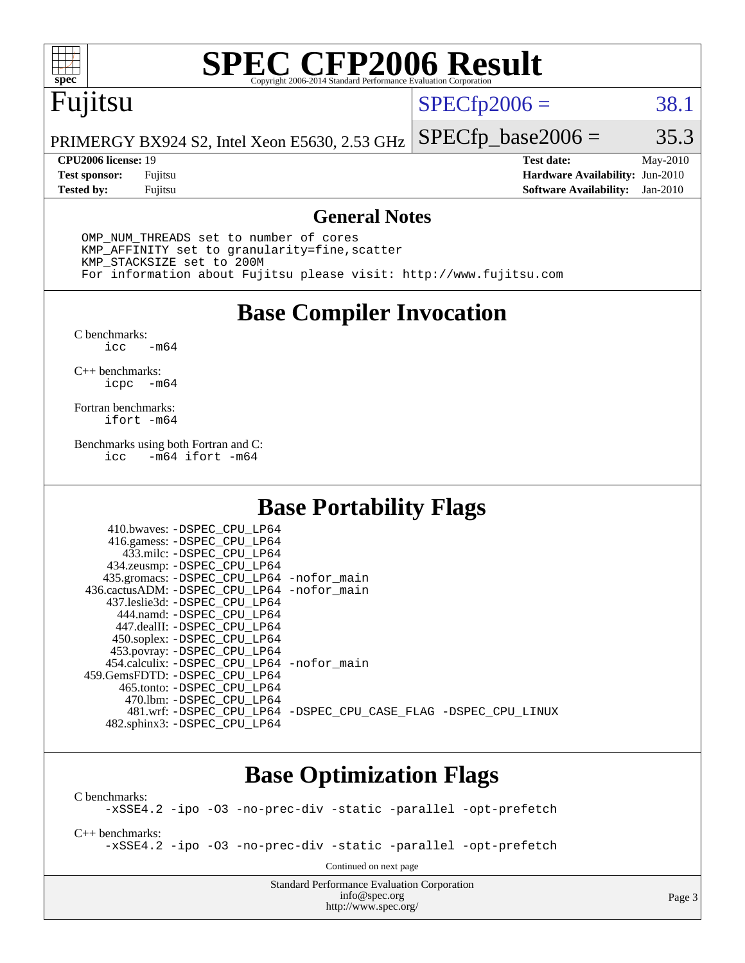

# **[SPEC CFP2006 Result](http://www.spec.org/auto/cpu2006/Docs/result-fields.html#SPECCFP2006Result)**

### Fujitsu

 $SPECTp2006 = 38.1$ 

PRIMERGY BX924 S2, Intel Xeon E5630, 2.53 GHz  $SPECTp\_base2006 = 35.3$ 

**[Tested by:](http://www.spec.org/auto/cpu2006/Docs/result-fields.html#Testedby)** Fujitsu **[Software Availability:](http://www.spec.org/auto/cpu2006/Docs/result-fields.html#SoftwareAvailability)** Jan-2010

**[CPU2006 license:](http://www.spec.org/auto/cpu2006/Docs/result-fields.html#CPU2006license)** 19 **[Test date:](http://www.spec.org/auto/cpu2006/Docs/result-fields.html#Testdate)** May-2010 **[Test sponsor:](http://www.spec.org/auto/cpu2006/Docs/result-fields.html#Testsponsor)** Fujitsu **[Hardware Availability:](http://www.spec.org/auto/cpu2006/Docs/result-fields.html#HardwareAvailability)** Jun-2010

#### **[General Notes](http://www.spec.org/auto/cpu2006/Docs/result-fields.html#GeneralNotes)**

 OMP\_NUM\_THREADS set to number of cores KMP\_AFFINITY set to granularity=fine,scatter KMP\_STACKSIZE set to 200M For information about Fujitsu please visit: <http://www.fujitsu.com>

### **[Base Compiler Invocation](http://www.spec.org/auto/cpu2006/Docs/result-fields.html#BaseCompilerInvocation)**

 $C$  benchmarks:<br>icc  $-m64$ 

[C++ benchmarks:](http://www.spec.org/auto/cpu2006/Docs/result-fields.html#CXXbenchmarks) [icpc -m64](http://www.spec.org/cpu2006/results/res2010q3/cpu2006-20100618-11726.flags.html#user_CXXbase_intel_icpc_64bit_bedb90c1146cab66620883ef4f41a67e)

[Fortran benchmarks](http://www.spec.org/auto/cpu2006/Docs/result-fields.html#Fortranbenchmarks): [ifort -m64](http://www.spec.org/cpu2006/results/res2010q3/cpu2006-20100618-11726.flags.html#user_FCbase_intel_ifort_64bit_ee9d0fb25645d0210d97eb0527dcc06e)

[Benchmarks using both Fortran and C](http://www.spec.org/auto/cpu2006/Docs/result-fields.html#BenchmarksusingbothFortranandC): [icc -m64](http://www.spec.org/cpu2006/results/res2010q3/cpu2006-20100618-11726.flags.html#user_CC_FCbase_intel_icc_64bit_0b7121f5ab7cfabee23d88897260401c) [ifort -m64](http://www.spec.org/cpu2006/results/res2010q3/cpu2006-20100618-11726.flags.html#user_CC_FCbase_intel_ifort_64bit_ee9d0fb25645d0210d97eb0527dcc06e)

### **[Base Portability Flags](http://www.spec.org/auto/cpu2006/Docs/result-fields.html#BasePortabilityFlags)**

| 435.gromacs: -DSPEC_CPU_LP64 -nofor_main                       |
|----------------------------------------------------------------|
| 436.cactusADM: -DSPEC CPU LP64 -nofor main                     |
|                                                                |
|                                                                |
|                                                                |
|                                                                |
|                                                                |
| 454.calculix: -DSPEC CPU LP64 -nofor main                      |
|                                                                |
|                                                                |
|                                                                |
| 481.wrf: -DSPEC CPU_LP64 -DSPEC_CPU_CASE_FLAG -DSPEC_CPU_LINUX |
|                                                                |
|                                                                |

### **[Base Optimization Flags](http://www.spec.org/auto/cpu2006/Docs/result-fields.html#BaseOptimizationFlags)**

[C benchmarks](http://www.spec.org/auto/cpu2006/Docs/result-fields.html#Cbenchmarks): [-xSSE4.2](http://www.spec.org/cpu2006/results/res2010q3/cpu2006-20100618-11726.flags.html#user_CCbase_f-xSSE42_f91528193cf0b216347adb8b939d4107) [-ipo](http://www.spec.org/cpu2006/results/res2010q3/cpu2006-20100618-11726.flags.html#user_CCbase_f-ipo) [-O3](http://www.spec.org/cpu2006/results/res2010q3/cpu2006-20100618-11726.flags.html#user_CCbase_f-O3) [-no-prec-div](http://www.spec.org/cpu2006/results/res2010q3/cpu2006-20100618-11726.flags.html#user_CCbase_f-no-prec-div) [-static](http://www.spec.org/cpu2006/results/res2010q3/cpu2006-20100618-11726.flags.html#user_CCbase_f-static) [-parallel](http://www.spec.org/cpu2006/results/res2010q3/cpu2006-20100618-11726.flags.html#user_CCbase_f-parallel) [-opt-prefetch](http://www.spec.org/cpu2006/results/res2010q3/cpu2006-20100618-11726.flags.html#user_CCbase_f-opt-prefetch) [C++ benchmarks:](http://www.spec.org/auto/cpu2006/Docs/result-fields.html#CXXbenchmarks) [-xSSE4.2](http://www.spec.org/cpu2006/results/res2010q3/cpu2006-20100618-11726.flags.html#user_CXXbase_f-xSSE42_f91528193cf0b216347adb8b939d4107) [-ipo](http://www.spec.org/cpu2006/results/res2010q3/cpu2006-20100618-11726.flags.html#user_CXXbase_f-ipo) [-O3](http://www.spec.org/cpu2006/results/res2010q3/cpu2006-20100618-11726.flags.html#user_CXXbase_f-O3) [-no-prec-div](http://www.spec.org/cpu2006/results/res2010q3/cpu2006-20100618-11726.flags.html#user_CXXbase_f-no-prec-div) [-static](http://www.spec.org/cpu2006/results/res2010q3/cpu2006-20100618-11726.flags.html#user_CXXbase_f-static) [-parallel](http://www.spec.org/cpu2006/results/res2010q3/cpu2006-20100618-11726.flags.html#user_CXXbase_f-parallel) [-opt-prefetch](http://www.spec.org/cpu2006/results/res2010q3/cpu2006-20100618-11726.flags.html#user_CXXbase_f-opt-prefetch) Continued on next page

> Standard Performance Evaluation Corporation [info@spec.org](mailto:info@spec.org) <http://www.spec.org/>

Page 3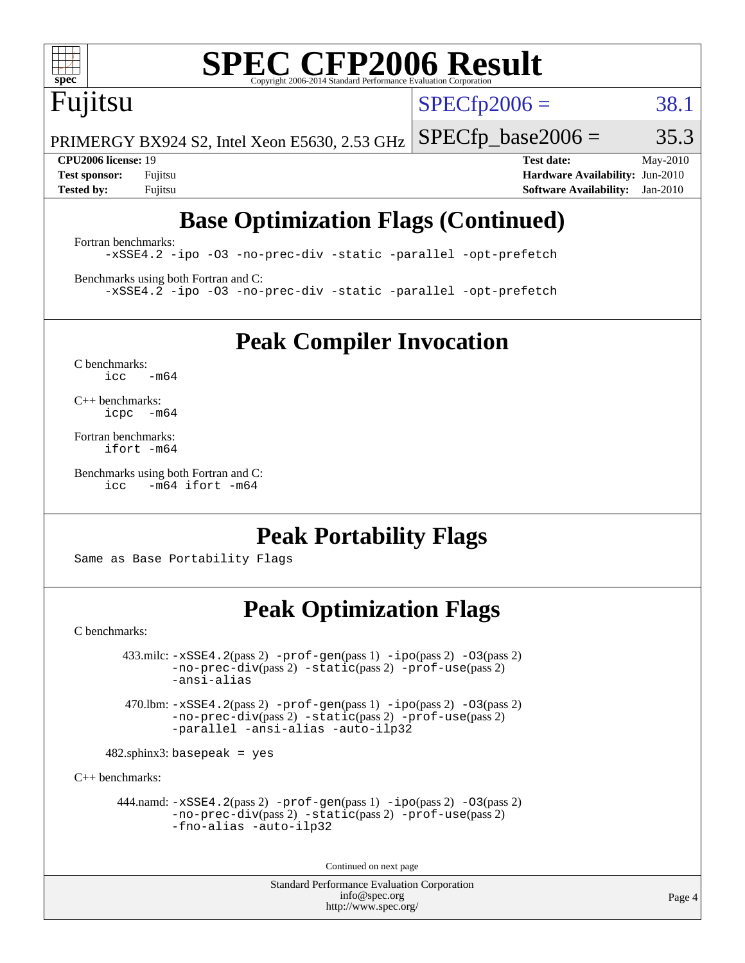

# **[SPEC CFP2006 Result](http://www.spec.org/auto/cpu2006/Docs/result-fields.html#SPECCFP2006Result)**

## Fujitsu

 $SPECTp2006 = 38.1$ 

PRIMERGY BX924 S2, Intel Xeon E5630, 2.53 GHz  $SPECTp\_base2006 = 35.3$ 

**[CPU2006 license:](http://www.spec.org/auto/cpu2006/Docs/result-fields.html#CPU2006license)** 19 **[Test date:](http://www.spec.org/auto/cpu2006/Docs/result-fields.html#Testdate)** May-2010 **[Test sponsor:](http://www.spec.org/auto/cpu2006/Docs/result-fields.html#Testsponsor)** Fujitsu **[Hardware Availability:](http://www.spec.org/auto/cpu2006/Docs/result-fields.html#HardwareAvailability)** Jun-2010 **[Tested by:](http://www.spec.org/auto/cpu2006/Docs/result-fields.html#Testedby)** Fujitsu **[Software Availability:](http://www.spec.org/auto/cpu2006/Docs/result-fields.html#SoftwareAvailability)** Jan-2010

### **[Base Optimization Flags \(Continued\)](http://www.spec.org/auto/cpu2006/Docs/result-fields.html#BaseOptimizationFlags)**

[Fortran benchmarks](http://www.spec.org/auto/cpu2006/Docs/result-fields.html#Fortranbenchmarks): [-xSSE4.2](http://www.spec.org/cpu2006/results/res2010q3/cpu2006-20100618-11726.flags.html#user_FCbase_f-xSSE42_f91528193cf0b216347adb8b939d4107) [-ipo](http://www.spec.org/cpu2006/results/res2010q3/cpu2006-20100618-11726.flags.html#user_FCbase_f-ipo) [-O3](http://www.spec.org/cpu2006/results/res2010q3/cpu2006-20100618-11726.flags.html#user_FCbase_f-O3) [-no-prec-div](http://www.spec.org/cpu2006/results/res2010q3/cpu2006-20100618-11726.flags.html#user_FCbase_f-no-prec-div) [-static](http://www.spec.org/cpu2006/results/res2010q3/cpu2006-20100618-11726.flags.html#user_FCbase_f-static) [-parallel](http://www.spec.org/cpu2006/results/res2010q3/cpu2006-20100618-11726.flags.html#user_FCbase_f-parallel) [-opt-prefetch](http://www.spec.org/cpu2006/results/res2010q3/cpu2006-20100618-11726.flags.html#user_FCbase_f-opt-prefetch)

[Benchmarks using both Fortran and C](http://www.spec.org/auto/cpu2006/Docs/result-fields.html#BenchmarksusingbothFortranandC): [-xSSE4.2](http://www.spec.org/cpu2006/results/res2010q3/cpu2006-20100618-11726.flags.html#user_CC_FCbase_f-xSSE42_f91528193cf0b216347adb8b939d4107) [-ipo](http://www.spec.org/cpu2006/results/res2010q3/cpu2006-20100618-11726.flags.html#user_CC_FCbase_f-ipo) [-O3](http://www.spec.org/cpu2006/results/res2010q3/cpu2006-20100618-11726.flags.html#user_CC_FCbase_f-O3) [-no-prec-div](http://www.spec.org/cpu2006/results/res2010q3/cpu2006-20100618-11726.flags.html#user_CC_FCbase_f-no-prec-div) [-static](http://www.spec.org/cpu2006/results/res2010q3/cpu2006-20100618-11726.flags.html#user_CC_FCbase_f-static) [-parallel](http://www.spec.org/cpu2006/results/res2010q3/cpu2006-20100618-11726.flags.html#user_CC_FCbase_f-parallel) [-opt-prefetch](http://www.spec.org/cpu2006/results/res2010q3/cpu2006-20100618-11726.flags.html#user_CC_FCbase_f-opt-prefetch)

**[Peak Compiler Invocation](http://www.spec.org/auto/cpu2006/Docs/result-fields.html#PeakCompilerInvocation)**

[C benchmarks](http://www.spec.org/auto/cpu2006/Docs/result-fields.html#Cbenchmarks):  $icc$   $-m64$ 

[C++ benchmarks:](http://www.spec.org/auto/cpu2006/Docs/result-fields.html#CXXbenchmarks) [icpc -m64](http://www.spec.org/cpu2006/results/res2010q3/cpu2006-20100618-11726.flags.html#user_CXXpeak_intel_icpc_64bit_bedb90c1146cab66620883ef4f41a67e)

[Fortran benchmarks](http://www.spec.org/auto/cpu2006/Docs/result-fields.html#Fortranbenchmarks): [ifort -m64](http://www.spec.org/cpu2006/results/res2010q3/cpu2006-20100618-11726.flags.html#user_FCpeak_intel_ifort_64bit_ee9d0fb25645d0210d97eb0527dcc06e)

[Benchmarks using both Fortran and C](http://www.spec.org/auto/cpu2006/Docs/result-fields.html#BenchmarksusingbothFortranandC): [icc -m64](http://www.spec.org/cpu2006/results/res2010q3/cpu2006-20100618-11726.flags.html#user_CC_FCpeak_intel_icc_64bit_0b7121f5ab7cfabee23d88897260401c) [ifort -m64](http://www.spec.org/cpu2006/results/res2010q3/cpu2006-20100618-11726.flags.html#user_CC_FCpeak_intel_ifort_64bit_ee9d0fb25645d0210d97eb0527dcc06e)

### **[Peak Portability Flags](http://www.spec.org/auto/cpu2006/Docs/result-fields.html#PeakPortabilityFlags)**

Same as Base Portability Flags

### **[Peak Optimization Flags](http://www.spec.org/auto/cpu2006/Docs/result-fields.html#PeakOptimizationFlags)**

[C benchmarks](http://www.spec.org/auto/cpu2006/Docs/result-fields.html#Cbenchmarks):

 $433.\text{mile: } -x\text{SSE4}.2(\text{pass 2}) -\text{prof-gen}(\text{pass 1}) - \text{ipo}(\text{pass 2}) -\text{O3}(\text{pass 2})$ [-no-prec-div](http://www.spec.org/cpu2006/results/res2010q3/cpu2006-20100618-11726.flags.html#user_peakPASS2_CFLAGSPASS2_LDFLAGS433_milc_f-no-prec-div)(pass 2) [-static](http://www.spec.org/cpu2006/results/res2010q3/cpu2006-20100618-11726.flags.html#user_peakPASS2_CFLAGSPASS2_LDFLAGS433_milc_f-static)(pass 2) [-prof-use](http://www.spec.org/cpu2006/results/res2010q3/cpu2006-20100618-11726.flags.html#user_peakPASS2_CFLAGSPASS2_LDFLAGS433_milc_prof_use_bccf7792157ff70d64e32fe3e1250b55)(pass 2) [-ansi-alias](http://www.spec.org/cpu2006/results/res2010q3/cpu2006-20100618-11726.flags.html#user_peakOPTIMIZE433_milc_f-ansi-alias)

 470.lbm: [-xSSE4.2](http://www.spec.org/cpu2006/results/res2010q3/cpu2006-20100618-11726.flags.html#user_peakPASS2_CFLAGSPASS2_LDFLAGS470_lbm_f-xSSE42_f91528193cf0b216347adb8b939d4107)(pass 2) [-prof-gen](http://www.spec.org/cpu2006/results/res2010q3/cpu2006-20100618-11726.flags.html#user_peakPASS1_CFLAGSPASS1_LDFLAGS470_lbm_prof_gen_e43856698f6ca7b7e442dfd80e94a8fc)(pass 1) [-ipo](http://www.spec.org/cpu2006/results/res2010q3/cpu2006-20100618-11726.flags.html#user_peakPASS2_CFLAGSPASS2_LDFLAGS470_lbm_f-ipo)(pass 2) [-O3](http://www.spec.org/cpu2006/results/res2010q3/cpu2006-20100618-11726.flags.html#user_peakPASS2_CFLAGSPASS2_LDFLAGS470_lbm_f-O3)(pass 2) [-no-prec-div](http://www.spec.org/cpu2006/results/res2010q3/cpu2006-20100618-11726.flags.html#user_peakPASS2_CFLAGSPASS2_LDFLAGS470_lbm_f-no-prec-div)(pass 2) [-static](http://www.spec.org/cpu2006/results/res2010q3/cpu2006-20100618-11726.flags.html#user_peakPASS2_CFLAGSPASS2_LDFLAGS470_lbm_f-static)(pass 2) [-prof-use](http://www.spec.org/cpu2006/results/res2010q3/cpu2006-20100618-11726.flags.html#user_peakPASS2_CFLAGSPASS2_LDFLAGS470_lbm_prof_use_bccf7792157ff70d64e32fe3e1250b55)(pass 2) [-parallel](http://www.spec.org/cpu2006/results/res2010q3/cpu2006-20100618-11726.flags.html#user_peakOPTIMIZE470_lbm_f-parallel) [-ansi-alias](http://www.spec.org/cpu2006/results/res2010q3/cpu2006-20100618-11726.flags.html#user_peakOPTIMIZE470_lbm_f-ansi-alias) [-auto-ilp32](http://www.spec.org/cpu2006/results/res2010q3/cpu2006-20100618-11726.flags.html#user_peakCOPTIMIZE470_lbm_f-auto-ilp32)

 $482$ .sphinx3: basepeak = yes

[C++ benchmarks:](http://www.spec.org/auto/cpu2006/Docs/result-fields.html#CXXbenchmarks)

 444.namd: [-xSSE4.2](http://www.spec.org/cpu2006/results/res2010q3/cpu2006-20100618-11726.flags.html#user_peakPASS2_CXXFLAGSPASS2_LDFLAGS444_namd_f-xSSE42_f91528193cf0b216347adb8b939d4107)(pass 2) [-prof-gen](http://www.spec.org/cpu2006/results/res2010q3/cpu2006-20100618-11726.flags.html#user_peakPASS1_CXXFLAGSPASS1_LDFLAGS444_namd_prof_gen_e43856698f6ca7b7e442dfd80e94a8fc)(pass 1) [-ipo](http://www.spec.org/cpu2006/results/res2010q3/cpu2006-20100618-11726.flags.html#user_peakPASS2_CXXFLAGSPASS2_LDFLAGS444_namd_f-ipo)(pass 2) [-O3](http://www.spec.org/cpu2006/results/res2010q3/cpu2006-20100618-11726.flags.html#user_peakPASS2_CXXFLAGSPASS2_LDFLAGS444_namd_f-O3)(pass 2) [-no-prec-div](http://www.spec.org/cpu2006/results/res2010q3/cpu2006-20100618-11726.flags.html#user_peakPASS2_CXXFLAGSPASS2_LDFLAGS444_namd_f-no-prec-div)(pass 2) [-static](http://www.spec.org/cpu2006/results/res2010q3/cpu2006-20100618-11726.flags.html#user_peakPASS2_CXXFLAGSPASS2_LDFLAGS444_namd_f-static)(pass 2) [-prof-use](http://www.spec.org/cpu2006/results/res2010q3/cpu2006-20100618-11726.flags.html#user_peakPASS2_CXXFLAGSPASS2_LDFLAGS444_namd_prof_use_bccf7792157ff70d64e32fe3e1250b55)(pass 2) [-fno-alias](http://www.spec.org/cpu2006/results/res2010q3/cpu2006-20100618-11726.flags.html#user_peakOPTIMIZE444_namd_f-no-alias_694e77f6c5a51e658e82ccff53a9e63a) [-auto-ilp32](http://www.spec.org/cpu2006/results/res2010q3/cpu2006-20100618-11726.flags.html#user_peakCXXOPTIMIZE444_namd_f-auto-ilp32)

Continued on next page

Standard Performance Evaluation Corporation [info@spec.org](mailto:info@spec.org) <http://www.spec.org/>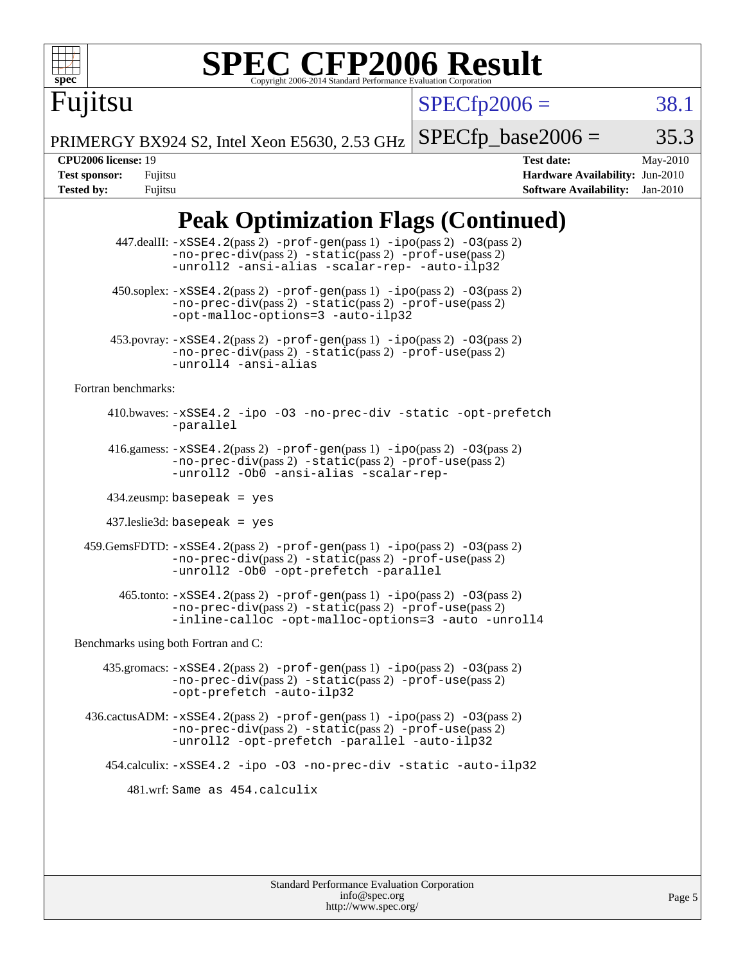

# **[SPEC CFP2006 Result](http://www.spec.org/auto/cpu2006/Docs/result-fields.html#SPECCFP2006Result)**

 $SPECfp2006 = 38.1$  $SPECfp2006 = 38.1$ 

PRIMERGY BX924 S2, Intel Xeon E5630, 2.53 GHz  $SPECTp\_base2006 = 35.3$ 

Fujitsu

**[CPU2006 license:](http://www.spec.org/auto/cpu2006/Docs/result-fields.html#CPU2006license)** 19 **[Test date:](http://www.spec.org/auto/cpu2006/Docs/result-fields.html#Testdate)** May-2010 **[Test sponsor:](http://www.spec.org/auto/cpu2006/Docs/result-fields.html#Testsponsor)** Fujitsu **[Hardware Availability:](http://www.spec.org/auto/cpu2006/Docs/result-fields.html#HardwareAvailability)** Jun-2010 **[Tested by:](http://www.spec.org/auto/cpu2006/Docs/result-fields.html#Testedby)** Fujitsu **[Software Availability:](http://www.spec.org/auto/cpu2006/Docs/result-fields.html#SoftwareAvailability)** Jan-2010

### **[Peak Optimization Flags \(Continued\)](http://www.spec.org/auto/cpu2006/Docs/result-fields.html#PeakOptimizationFlags)**

|                                      | 447.dealII: -xSSE4.2(pass 2) -prof-gen(pass 1) -ipo(pass 2) -03(pass 2)<br>$-no-prec-div(pass 2) -static(pass 2) -prof-use(pass 2)$<br>-unroll2 -ansi-alias -scalar-rep- -auto-ilp32    |  |  |  |  |  |
|--------------------------------------|-----------------------------------------------------------------------------------------------------------------------------------------------------------------------------------------|--|--|--|--|--|
|                                      | 450.soplex: -xSSE4.2(pass 2) -prof-gen(pass 1) -ipo(pass 2) -03(pass 2)<br>$-no-prec-div(pass 2) -static(pass 2) -prof-use(pass 2)$<br>-opt-malloc-options=3 -auto-ilp32                |  |  |  |  |  |
|                                      | $453.$ povray: $-xSSE4.2(pass2)$ -prof-gen $(pass1)$ -ipo $(pass2)$ -03 $(pass2)$<br>-no-prec-div(pass 2) -static(pass 2) -prof-use(pass 2)<br>-unroll4 -ansi-alias                     |  |  |  |  |  |
| Fortran benchmarks:                  |                                                                                                                                                                                         |  |  |  |  |  |
|                                      | 410.bwaves: -xSSE4.2 -ipo -03 -no-prec-div -static -opt-prefetch<br>-parallel                                                                                                           |  |  |  |  |  |
|                                      | 416.gamess: $-xSSE4$ . 2(pass 2) $-prof-gen(pass 1) -ipo(pass 2) -O3(pass 2)$<br>-no-prec-div(pass 2) -static(pass 2) -prof-use(pass 2)<br>-unroll2 - ObO -ansi-alias -scalar-rep-      |  |  |  |  |  |
| $434$ .zeusmp: basepeak = yes        |                                                                                                                                                                                         |  |  |  |  |  |
| $437$ .leslie3d: basepeak = yes      |                                                                                                                                                                                         |  |  |  |  |  |
|                                      | 459.GemsFDTD: -xSSE4.2(pass 2) -prof-gen(pass 1) -ipo(pass 2) -03(pass 2)<br>-no-prec-div(pass 2) -static(pass 2) -prof-use(pass 2)<br>-unroll2 -0b0 -opt-prefetch -parallel            |  |  |  |  |  |
|                                      | 465.tonto: -xSSE4.2(pass 2) -prof-gen(pass 1) -ipo(pass 2) -03(pass 2)<br>-no-prec-div(pass 2) -static(pass 2) -prof-use(pass 2)<br>-inline-calloc -opt-malloc-options=3 -auto -unroll4 |  |  |  |  |  |
| Benchmarks using both Fortran and C: |                                                                                                                                                                                         |  |  |  |  |  |
|                                      | 435.gromacs: $-xSSE4$ . 2(pass 2) $-prof$ -gen(pass 1) $-ipo$ (pass 2) $-O3$ (pass 2)<br>-no-prec-div(pass 2) -static(pass 2) -prof-use(pass 2)<br>-opt-prefetch -auto-ilp32            |  |  |  |  |  |
|                                      | $436.cactusADM: -xSSE4.2(pass 2) -prof-gen(pass 1) -ipo(pass 2) -03(pass 2)$<br>-no-prec-div(pass 2) -static(pass 2) -prof-use(pass 2)<br>-unroll2 -opt-prefetch -parallel -auto-ilp32  |  |  |  |  |  |
|                                      | 454.calculix: -xSSE4.2 -ipo -03 -no-prec-div -static -auto-ilp32                                                                                                                        |  |  |  |  |  |
|                                      | 481.wrf: Same as 454.calculix                                                                                                                                                           |  |  |  |  |  |
|                                      |                                                                                                                                                                                         |  |  |  |  |  |